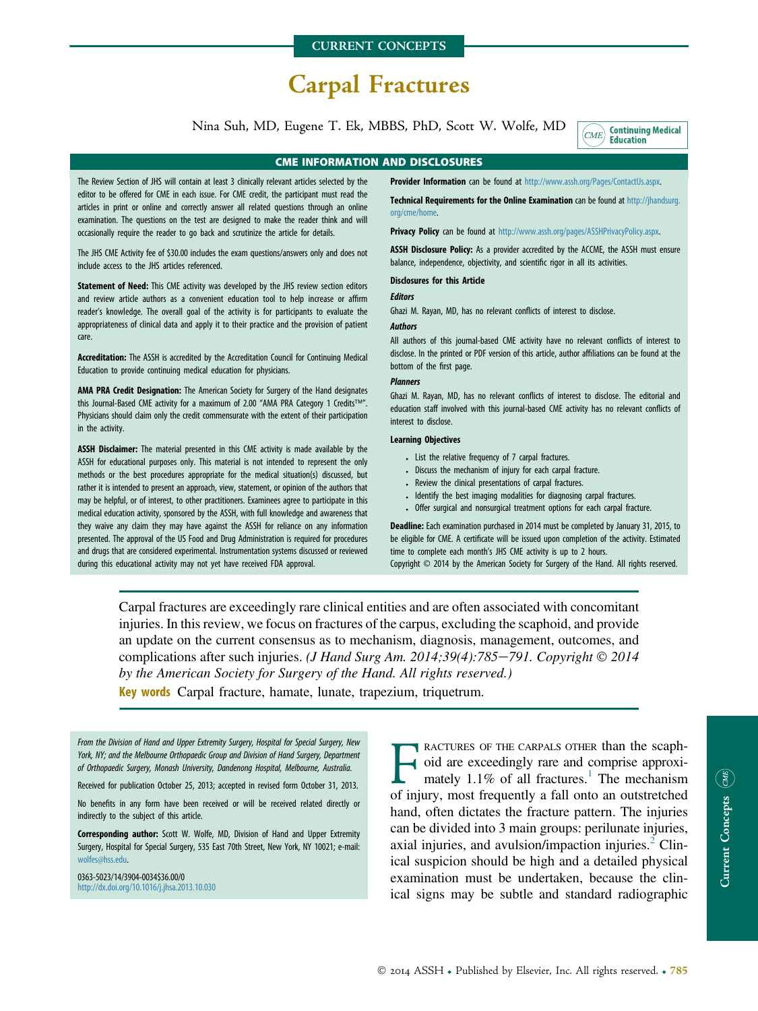# Carpal Fractures

Nina Suh, MD, Eugene T. Ek, MBBS, PhD, Scott W. Wolfe, MD



#### CME INFORMATION AND DISCLOSURES

The Review Section of JHS will contain at least 3 clinically relevant articles selected by the editor to be offered for CME in each issue. For CME credit, the participant must read the articles in print or online and correctly answer all related questions through an online examination. The questions on the test are designed to make the reader think and will occasionally require the reader to go back and scrutinize the article for details.

The JHS CME Activity fee of \$30.00 includes the exam questions/answers only and does not include access to the JHS articles referenced.

Statement of Need: This CME activity was developed by the JHS review section editors and review article authors as a convenient education tool to help increase or affirm reader's knowledge. The overall goal of the activity is for participants to evaluate the appropriateness of clinical data and apply it to their practice and the provision of patient care.

Accreditation: The ASSH is accredited by the Accreditation Council for Continuing Medical Education to provide continuing medical education for physicians.

AMA PRA Credit Designation: The American Society for Surgery of the Hand designates this Journal-Based CME activity for a maximum of 2.00 "AMA PRA Category 1 Credits™". Physicians should claim only the credit commensurate with the extent of their participation in the activity.

ASSH Disclaimer: The material presented in this CME activity is made available by the ASSH for educational purposes only. This material is not intended to represent the only methods or the best procedures appropriate for the medical situation(s) discussed, but rather it is intended to present an approach, view, statement, or opinion of the authors that may be helpful, or of interest, to other practitioners. Examinees agree to participate in this medical education activity, sponsored by the ASSH, with full knowledge and awareness that they waive any claim they may have against the ASSH for reliance on any information presented. The approval of the US Food and Drug Administration is required for procedures and drugs that are considered experimental. Instrumentation systems discussed or reviewed during this educational activity may not yet have received FDA approval.

Provider Information can be found at [http://www.assh.org/Pages/ContactUs.aspx.](http://www.assh.org/Pages/ContactUs.aspx)

Technical Requirements for the Online Examination can be found at [http://jhandsurg.](http://jhandsurg.org/cme/home) org/cme/home

Privacy Policy can be found at [http://www.assh.org/pages/ASSHPrivacyPolicy.aspx.](http://www.assh.org/pages/ASSHPrivacyPolicy.aspx)

ASSH Disclosure Policy: As a provider accredited by the ACCME, the ASSH must ensure balance, independence, objectivity, and scientific rigor in all its activities.

Disclosures for this Article

## **Editors**

Ghazi M. Rayan, MD, has no relevant conflicts of interest to disclose.

#### Authors

All authors of this journal-based CME activity have no relevant conflicts of interest to disclose. In the printed or PDF version of this article, author affiliations can be found at the bottom of the first page.

#### Planners

Ghazi M. Rayan, MD, has no relevant conflicts of interest to disclose. The editorial and education staff involved with this journal-based CME activity has no relevant conflicts of interest to disclose.

#### Learning Objectives

- List the relative frequency of 7 carpal fractures.
- Discuss the mechanism of injury for each carpal fracture.
- Review the clinical presentations of carpal fractures.
- Identify the best imaging modalities for diagnosing carpal fractures.
- Offer surgical and nonsurgical treatment options for each carpal fracture.

Deadline: Each examination purchased in 2014 must be completed by January 31, 2015, to be eligible for CME. A certificate will be issued upon completion of the activity. Estimated time to complete each month's JHS CME activity is up to 2 hours.

Copyright © 2014 by the American Society for Surgery of the Hand. All rights reserved.

Carpal fractures are exceedingly rare clinical entities and are often associated with concomitant injuries. In this review, we focus on fractures of the carpus, excluding the scaphoid, and provide an update on the current consensus as to mechanism, diagnosis, management, outcomes, and complications after such injuries. (J Hand Surg Am. 2014;39(4):785–791. Copyright  $\odot$  2014 by the American Society for Surgery of the Hand. All rights reserved.)

Key words Carpal fracture, hamate, lunate, trapezium, triquetrum.

From the Division of Hand and Upper Extremity Surgery, Hospital for Special Surgery, New York, NY; and the Melbourne Orthopaedic Group and Division of Hand Surgery, Department of Orthopaedic Surgery, Monash University, Dandenong Hospital, Melbourne, Australia.

Received for publication October 25, 2013; accepted in revised form October 31, 2013.

No benefits in any form have been received or will be received related directly or indirectly to the subject of this article.

Corresponding author: Scott W. Wolfe, MD, Division of Hand and Upper Extremity Surgery, Hospital for Special Surgery, 535 East 70th Street, New York, NY 10021; e-mail: [wolfes@hss.edu](mailto:wolfes@hss.edu).

0363-5023/14/3904-0034\$36.00/0 <http://dx.doi.org/10.1016/j.jhsa.2013.10.030>

**FEDELAL STARES OF THE CARPALS OTHER than the scaph-**<br>oid are exceedingly rare and comprise approximately 1.1% of all fractures.<sup>1</sup> The mechanism<br>of injury, most frequently a fall onto an outstretched oid are exceedingly rare and comprise approximately  $1.1\%$  $1.1\%$  of all fractures.<sup>1</sup> The mechanism of injury, most frequently a fall onto an outstretched hand, often dictates the fracture pattern. The injuries can be divided into 3 main groups: perilunate injuries, axial injuries, and avulsion/impaction injuries. $\sim$  Clinical suspicion should be high and a detailed physical examination must be undertaken, because the clinical signs may be subtle and standard radiographic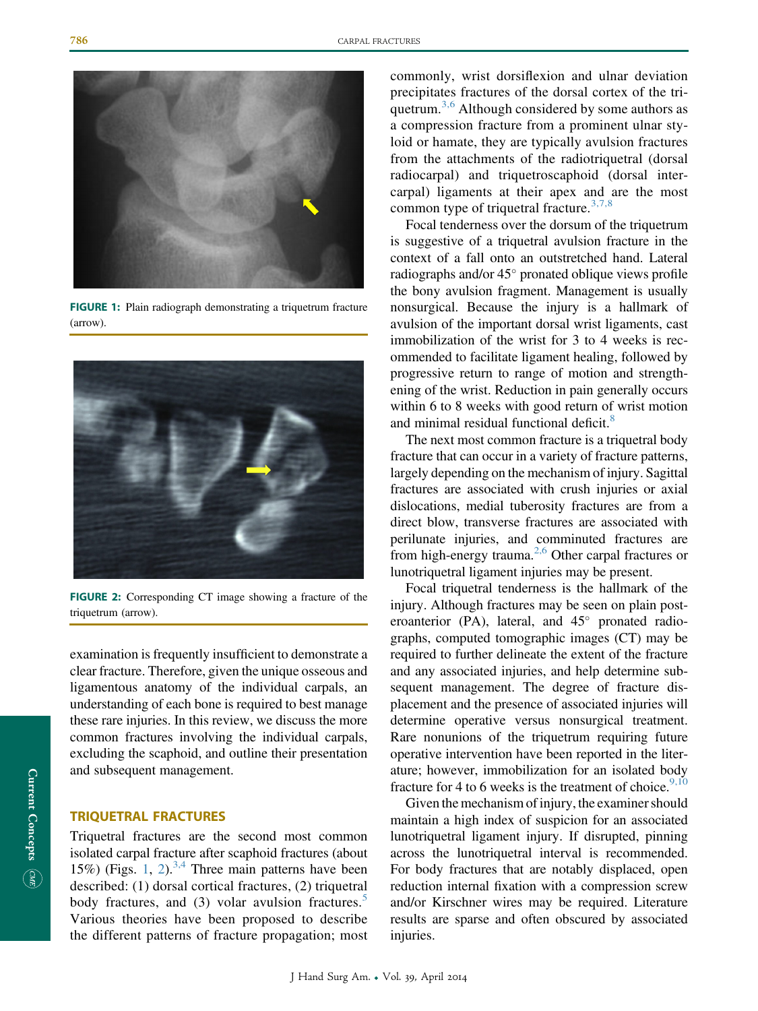

FIGURE 1: Plain radiograph demonstrating a triquetrum fracture (arrow).



FIGURE 2: Corresponding CT image showing a fracture of the triquetrum (arrow).

examination is frequently insufficient to demonstrate a clear fracture. Therefore, given the unique osseous and ligamentous anatomy of the individual carpals, an understanding of each bone is required to best manage these rare injuries. In this review, we discuss the more common fractures involving the individual carpals, excluding the scaphoid, and outline their presentation and subsequent management.

## TRIQUETRAL FRACTURES

Triquetral fractures are the second most common isolated carpal fracture after scaphoid fractures (about 15%) (Figs. 1, 2). $3,4$  Three main patterns have been described: (1) dorsal cortical fractures, (2) triquetral body fractures, and  $(3)$  volar avulsion fractures.<sup>[5](#page-5-0)</sup> Various theories have been proposed to describe the different patterns of fracture propagation; most commonly, wrist dorsiflexion and ulnar deviation precipitates fractures of the dorsal cortex of the tri-quetrum.<sup>[3,6](#page-5-0)</sup> Although considered by some authors as a compression fracture from a prominent ulnar styloid or hamate, they are typically avulsion fractures from the attachments of the radiotriquetral (dorsal radiocarpal) and triquetroscaphoid (dorsal intercarpal) ligaments at their apex and are the most common type of triquetral fracture. $3,7,8$ 

Focal tenderness over the dorsum of the triquetrum is suggestive of a triquetral avulsion fracture in the context of a fall onto an outstretched hand. Lateral radiographs and/or  $45^{\circ}$  pronated oblique views profile the bony avulsion fragment. Management is usually nonsurgical. Because the injury is a hallmark of avulsion of the important dorsal wrist ligaments, cast immobilization of the wrist for 3 to 4 weeks is recommended to facilitate ligament healing, followed by progressive return to range of motion and strengthening of the wrist. Reduction in pain generally occurs within 6 to 8 weeks with good return of wrist motion and minimal residual functional deficit.<sup>[8](#page-6-0)</sup>

The next most common fracture is a triquetral body fracture that can occur in a variety of fracture patterns, largely depending on the mechanism of injury. Sagittal fractures are associated with crush injuries or axial dislocations, medial tuberosity fractures are from a direct blow, transverse fractures are associated with perilunate injuries, and comminuted fractures are from high-energy trauma.<sup>2,6</sup> Other carpal fractures or lunotriquetral ligament injuries may be present.

Focal triquetral tenderness is the hallmark of the injury. Although fractures may be seen on plain posteroanterior (PA), lateral, and  $45^{\circ}$  pronated radiographs, computed tomographic images (CT) may be required to further delineate the extent of the fracture and any associated injuries, and help determine subsequent management. The degree of fracture displacement and the presence of associated injuries will determine operative versus nonsurgical treatment. Rare nonunions of the triquetrum requiring future operative intervention have been reported in the literature; however, immobilization for an isolated body fracture for 4 to 6 weeks is the treatment of choice.  $9,10$ 

Given the mechanism of injury, the examiner should maintain a high index of suspicion for an associated lunotriquetral ligament injury. If disrupted, pinning across the lunotriquetral interval is recommended. For body fractures that are notably displaced, open reduction internal fixation with a compression screw and/or Kirschner wires may be required. Literature results are sparse and often obscured by associated injuries.

Current Concepts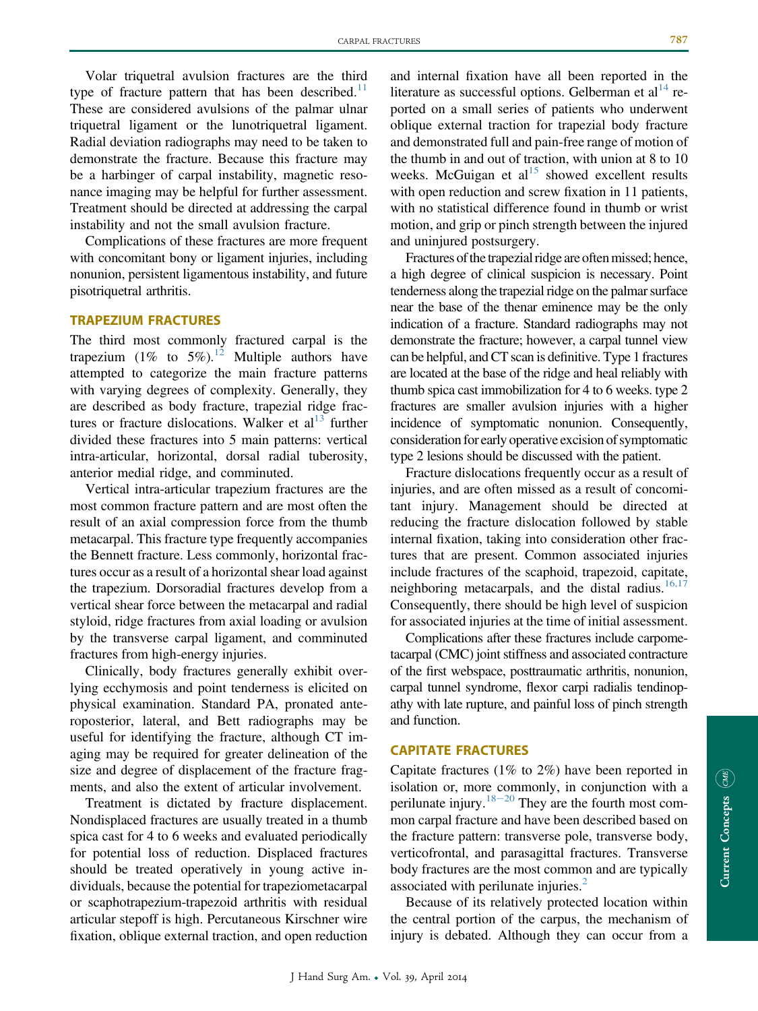Volar triquetral avulsion fractures are the third type of fracture pattern that has been described.<sup>[11](#page-6-0)</sup> These are considered avulsions of the palmar ulnar triquetral ligament or the lunotriquetral ligament. Radial deviation radiographs may need to be taken to demonstrate the fracture. Because this fracture may be a harbinger of carpal instability, magnetic resonance imaging may be helpful for further assessment. Treatment should be directed at addressing the carpal instability and not the small avulsion fracture.

Complications of these fractures are more frequent with concomitant bony or ligament injuries, including nonunion, persistent ligamentous instability, and future pisotriquetral arthritis.

## TRAPEZIUM FRACTURES

The third most commonly fractured carpal is the trapezium (1% to 5%).<sup>[12](#page-6-0)</sup> Multiple authors have attempted to categorize the main fracture patterns with varying degrees of complexity. Generally, they are described as body fracture, trapezial ridge fractures or fracture dislocations. Walker et  $al<sup>13</sup>$  $al<sup>13</sup>$  $al<sup>13</sup>$  further divided these fractures into 5 main patterns: vertical intra-articular, horizontal, dorsal radial tuberosity, anterior medial ridge, and comminuted.

Vertical intra-articular trapezium fractures are the most common fracture pattern and are most often the result of an axial compression force from the thumb metacarpal. This fracture type frequently accompanies the Bennett fracture. Less commonly, horizontal fractures occur as a result of a horizontal shear load against the trapezium. Dorsoradial fractures develop from a vertical shear force between the metacarpal and radial styloid, ridge fractures from axial loading or avulsion by the transverse carpal ligament, and comminuted fractures from high-energy injuries.

Clinically, body fractures generally exhibit overlying ecchymosis and point tenderness is elicited on physical examination. Standard PA, pronated anteroposterior, lateral, and Bett radiographs may be useful for identifying the fracture, although CT imaging may be required for greater delineation of the size and degree of displacement of the fracture fragments, and also the extent of articular involvement.

Treatment is dictated by fracture displacement. Nondisplaced fractures are usually treated in a thumb spica cast for 4 to 6 weeks and evaluated periodically for potential loss of reduction. Displaced fractures should be treated operatively in young active individuals, because the potential for trapeziometacarpal or scaphotrapezium-trapezoid arthritis with residual articular stepoff is high. Percutaneous Kirschner wire fixation, oblique external traction, and open reduction

and internal fixation have all been reported in the literature as successful options. Gelberman et  $al<sup>14</sup>$  $al<sup>14</sup>$  $al<sup>14</sup>$  reported on a small series of patients who underwent oblique external traction for trapezial body fracture and demonstrated full and pain-free range of motion of the thumb in and out of traction, with union at 8 to 10 weeks. McGuigan et  $al<sup>15</sup>$  $al<sup>15</sup>$  $al<sup>15</sup>$  showed excellent results with open reduction and screw fixation in 11 patients, with no statistical difference found in thumb or wrist motion, and grip or pinch strength between the injured and uninjured postsurgery.

Fractures of the trapezial ridge are often missed; hence, a high degree of clinical suspicion is necessary. Point tenderness along the trapezial ridge on the palmar surface near the base of the thenar eminence may be the only indication of a fracture. Standard radiographs may not demonstrate the fracture; however, a carpal tunnel view can be helpful, and CT scan is definitive. Type 1 fractures are located at the base of the ridge and heal reliably with thumb spica cast immobilization for 4 to 6 weeks. type 2 fractures are smaller avulsion injuries with a higher incidence of symptomatic nonunion. Consequently, consideration for early operative excision of symptomatic type 2 lesions should be discussed with the patient.

Fracture dislocations frequently occur as a result of injuries, and are often missed as a result of concomitant injury. Management should be directed at reducing the fracture dislocation followed by stable internal fixation, taking into consideration other fractures that are present. Common associated injuries include fractures of the scaphoid, trapezoid, capitate, neighboring metacarpals, and the distal radius. $16,17$ Consequently, there should be high level of suspicion for associated injuries at the time of initial assessment.

Complications after these fractures include carpometacarpal (CMC) joint stiffness and associated contracture of the first webspace, posttraumatic arthritis, nonunion, carpal tunnel syndrome, flexor carpi radialis tendinopathy with late rupture, and painful loss of pinch strength and function.

## CAPITATE FRACTURES

Capitate fractures (1% to 2%) have been reported in isolation or, more commonly, in conjunction with a perilunate injury.<sup>[18](#page-6-0)-[20](#page-6-0)</sup> They are the fourth most common carpal fracture and have been described based on the fracture pattern: transverse pole, transverse body, verticofrontal, and parasagittal fractures. Transverse body fractures are the most common and are typically associated with perilunate injuries. $\frac{2}{x}$ 

Because of its relatively protected location within the central portion of the carpus, the mechanism of injury is debated. Although they can occur from a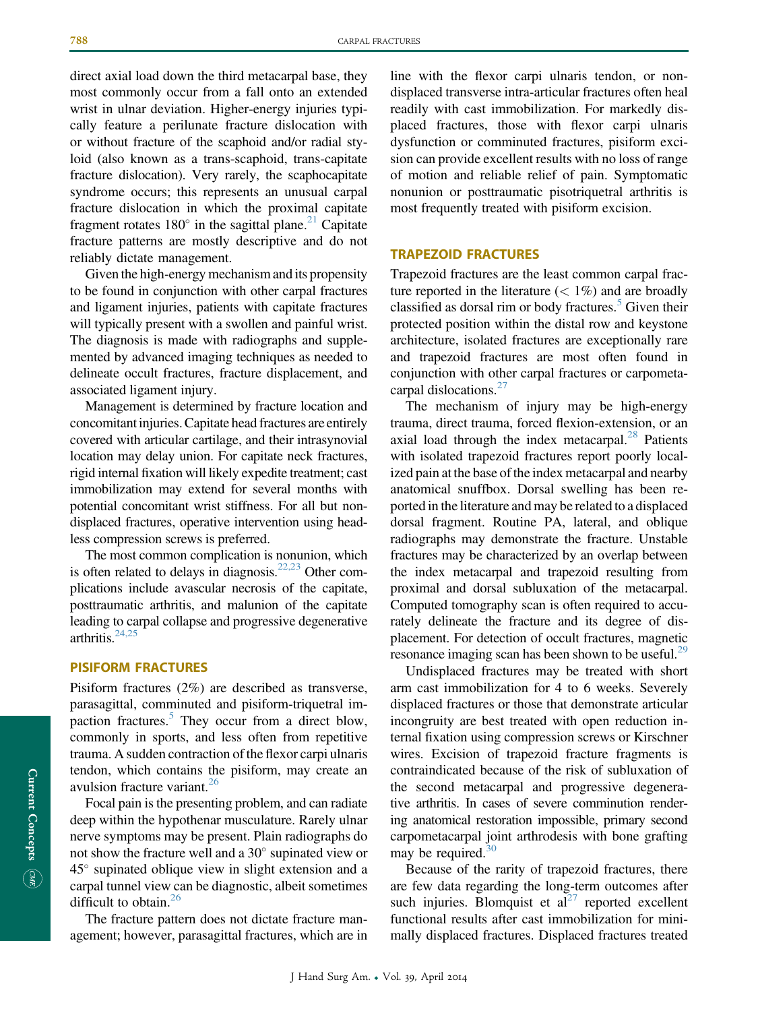direct axial load down the third metacarpal base, they most commonly occur from a fall onto an extended wrist in ulnar deviation. Higher-energy injuries typically feature a perilunate fracture dislocation with or without fracture of the scaphoid and/or radial styloid (also known as a trans-scaphoid, trans-capitate fracture dislocation). Very rarely, the scaphocapitate syndrome occurs; this represents an unusual carpal fracture dislocation in which the proximal capitate fragment rotates  $180^\circ$  in the sagittal plane.<sup>[21](#page-6-0)</sup> Capitate fracture patterns are mostly descriptive and do not reliably dictate management.

Given the high-energy mechanism and its propensity to be found in conjunction with other carpal fractures and ligament injuries, patients with capitate fractures will typically present with a swollen and painful wrist. The diagnosis is made with radiographs and supplemented by advanced imaging techniques as needed to delineate occult fractures, fracture displacement, and associated ligament injury.

Management is determined by fracture location and concomitant injuries. Capitate head fractures are entirely covered with articular cartilage, and their intrasynovial location may delay union. For capitate neck fractures, rigid internal fixation will likely expedite treatment; cast immobilization may extend for several months with potential concomitant wrist stiffness. For all but nondisplaced fractures, operative intervention using headless compression screws is preferred.

The most common complication is nonunion, which is often related to delays in diagnosis.<sup>[22,23](#page-6-0)</sup> Other complications include avascular necrosis of the capitate, posttraumatic arthritis, and malunion of the capitate leading to carpal collapse and progressive degenerative arthritis. $24,25$ 

#### PISIFORM FRACTURES

Pisiform fractures (2%) are described as transverse, parasagittal, comminuted and pisiform-triquetral impaction fractures. $5$  They occur from a direct blow, commonly in sports, and less often from repetitive trauma. A sudden contraction of the flexor carpi ulnaris tendon, which contains the pisiform, may create an avulsion fracture variant.<sup>26</sup>

Focal pain is the presenting problem, and can radiate deep within the hypothenar musculature. Rarely ulnar nerve symptoms may be present. Plain radiographs do not show the fracture well and a  $30^{\circ}$  supinated view or  $45^\circ$  supinated oblique view in slight extension and a carpal tunnel view can be diagnostic, albeit sometimes difficult to obtain. $26$ 

The fracture pattern does not dictate fracture management; however, parasagittal fractures, which are in

line with the flexor carpi ulnaris tendon, or nondisplaced transverse intra-articular fractures often heal readily with cast immobilization. For markedly displaced fractures, those with flexor carpi ulnaris dysfunction or comminuted fractures, pisiform excision can provide excellent results with no loss of range of motion and reliable relief of pain. Symptomatic nonunion or posttraumatic pisotriquetral arthritis is most frequently treated with pisiform excision.

## TRAPEZOID FRACTURES

Trapezoid fractures are the least common carpal fracture reported in the literature  $(< 1\%)$  and are broadly classified as dorsal rim or body fractures. $5$  Given their protected position within the distal row and keystone architecture, isolated fractures are exceptionally rare and trapezoid fractures are most often found in conjunction with other carpal fractures or carpometacarpal dislocations. $27$ 

The mechanism of injury may be high-energy trauma, direct trauma, forced flexion-extension, or an axial load through the index metacarpal.<sup>[28](#page-6-0)</sup> Patients with isolated trapezoid fractures report poorly localized pain at the base of the index metacarpal and nearby anatomical snuffbox. Dorsal swelling has been reported in the literature and may be related to a displaced dorsal fragment. Routine PA, lateral, and oblique radiographs may demonstrate the fracture. Unstable fractures may be characterized by an overlap between the index metacarpal and trapezoid resulting from proximal and dorsal subluxation of the metacarpal. Computed tomography scan is often required to accurately delineate the fracture and its degree of displacement. For detection of occult fractures, magnetic resonance imaging scan has been shown to be useful.<sup>29</sup>

Undisplaced fractures may be treated with short arm cast immobilization for 4 to 6 weeks. Severely displaced fractures or those that demonstrate articular incongruity are best treated with open reduction internal fixation using compression screws or Kirschner wires. Excision of trapezoid fracture fragments is contraindicated because of the risk of subluxation of the second metacarpal and progressive degenerative arthritis. In cases of severe comminution rendering anatomical restoration impossible, primary second carpometacarpal joint arthrodesis with bone grafting may be required. $30$ 

Because of the rarity of trapezoid fractures, there are few data regarding the long-term outcomes after such injuries. Blomquist et  $al^{27}$  reported excellent functional results after cast immobilization for minimally displaced fractures. Displaced fractures treated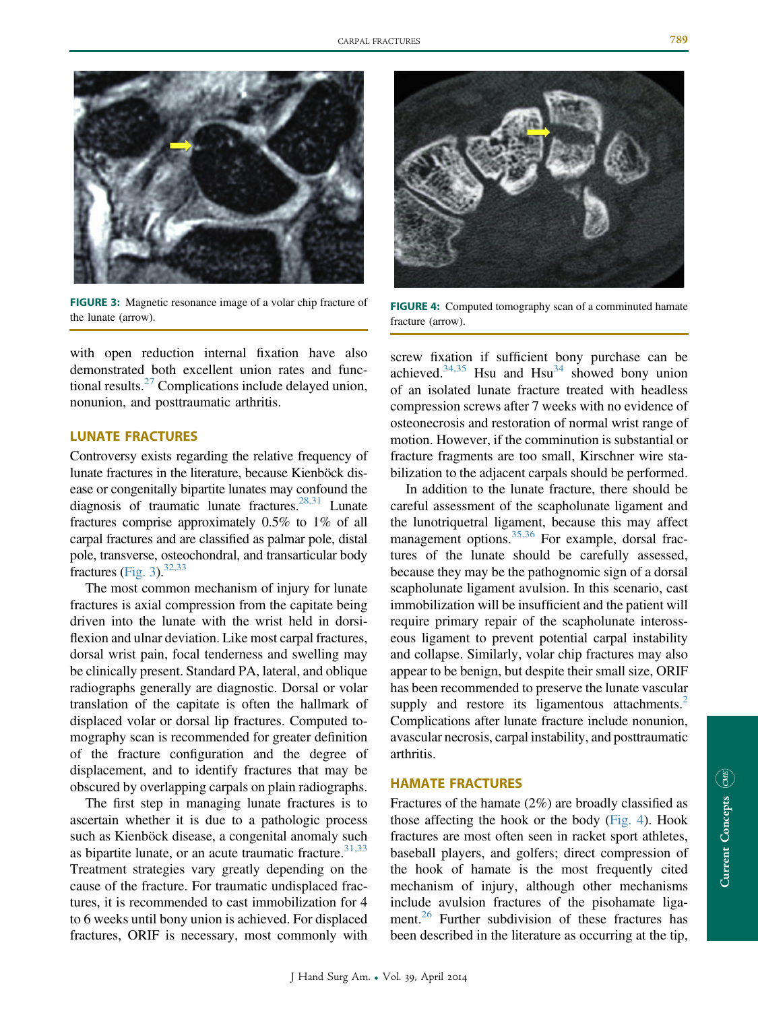

FIGURE 3: Magnetic resonance image of a volar chip fracture of the lunate (arrow).

with open reduction internal fixation have also demonstrated both excellent union rates and functional results. $27$  Complications include delayed union, nonunion, and posttraumatic arthritis.

#### LUNATE FRACTURES

Controversy exists regarding the relative frequency of lunate fractures in the literature, because Kienböck disease or congenitally bipartite lunates may confound the diagnosis of traumatic lunate fractures. $28,31$  Lunate fractures comprise approximately 0.5% to 1% of all carpal fractures and are classified as palmar pole, distal pole, transverse, osteochondral, and transarticular body fractures (Fig. 3).  $32,33$ 

The most common mechanism of injury for lunate fractures is axial compression from the capitate being driven into the lunate with the wrist held in dorsiflexion and ulnar deviation. Like most carpal fractures, dorsal wrist pain, focal tenderness and swelling may be clinically present. Standard PA, lateral, and oblique radiographs generally are diagnostic. Dorsal or volar translation of the capitate is often the hallmark of displaced volar or dorsal lip fractures. Computed tomography scan is recommended for greater definition of the fracture configuration and the degree of displacement, and to identify fractures that may be obscured by overlapping carpals on plain radiographs.

The first step in managing lunate fractures is to ascertain whether it is due to a pathologic process such as Kienböck disease, a congenital anomaly such as bipartite lunate, or an acute traumatic fracture. $31,33$ Treatment strategies vary greatly depending on the cause of the fracture. For traumatic undisplaced fractures, it is recommended to cast immobilization for 4 to 6 weeks until bony union is achieved. For displaced fractures, ORIF is necessary, most commonly with



FIGURE 4: Computed tomography scan of a comminuted hamate fracture (arrow).

screw fixation if sufficient bony purchase can be achieved. $34,35$  $34,35$  Hsu and Hsu $34$  showed bony union of an isolated lunate fracture treated with headless compression screws after 7 weeks with no evidence of osteonecrosis and restoration of normal wrist range of motion. However, if the comminution is substantial or fracture fragments are too small, Kirschner wire stabilization to the adjacent carpals should be performed.

In addition to the lunate fracture, there should be careful assessment of the scapholunate ligament and the lunotriquetral ligament, because this may affect management options.<sup>[35,36](#page-6-0)</sup> For example, dorsal fractures of the lunate should be carefully assessed, because they may be the pathognomic sign of a dorsal scapholunate ligament avulsion. In this scenario, cast immobilization will be insufficient and the patient will require primary repair of the scapholunate interosseous ligament to prevent potential carpal instability and collapse. Similarly, volar chip fractures may also appear to be benign, but despite their small size, ORIF has been recommended to preserve the lunate vascular supply and restore its ligamentous attachments. $2^2$  $2^2$ Complications after lunate fracture include nonunion, avascular necrosis, carpal instability, and posttraumatic arthritis.

## HAMATE FRACTURES

Fractures of the hamate (2%) are broadly classified as those affecting the hook or the body (Fig. 4). Hook fractures are most often seen in racket sport athletes, baseball players, and golfers; direct compression of the hook of hamate is the most frequently cited mechanism of injury, although other mechanisms include avulsion fractures of the pisohamate ligament.<sup>26</sup> Further subdivision of these fractures has been described in the literature as occurring at the tip,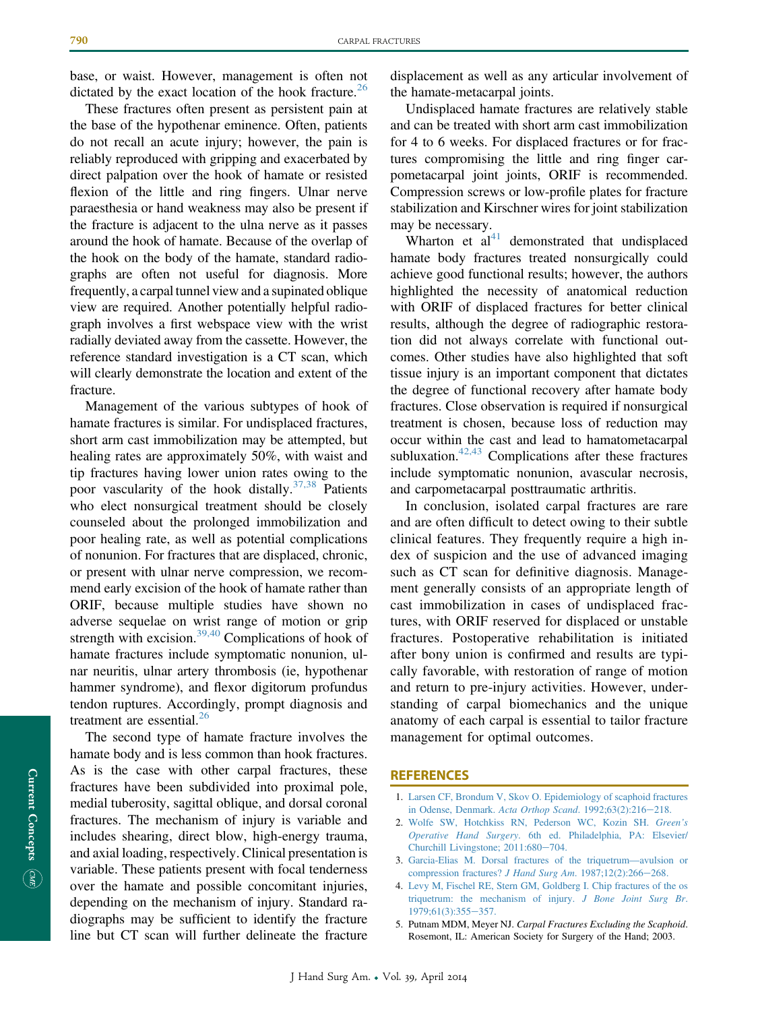<span id="page-5-0"></span>base, or waist. However, management is often not dictated by the exact location of the hook fracture.<sup>[26](#page-6-0)</sup>

These fractures often present as persistent pain at the base of the hypothenar eminence. Often, patients do not recall an acute injury; however, the pain is reliably reproduced with gripping and exacerbated by direct palpation over the hook of hamate or resisted flexion of the little and ring fingers. Ulnar nerve paraesthesia or hand weakness may also be present if the fracture is adjacent to the ulna nerve as it passes around the hook of hamate. Because of the overlap of the hook on the body of the hamate, standard radiographs are often not useful for diagnosis. More frequently, a carpal tunnel view and a supinated oblique view are required. Another potentially helpful radiograph involves a first webspace view with the wrist radially deviated away from the cassette. However, the reference standard investigation is a CT scan, which will clearly demonstrate the location and extent of the fracture.

Management of the various subtypes of hook of hamate fractures is similar. For undisplaced fractures, short arm cast immobilization may be attempted, but healing rates are approximately 50%, with waist and tip fractures having lower union rates owing to the poor vascularity of the hook distally. $37,38$  Patients who elect nonsurgical treatment should be closely counseled about the prolonged immobilization and poor healing rate, as well as potential complications of nonunion. For fractures that are displaced, chronic, or present with ulnar nerve compression, we recommend early excision of the hook of hamate rather than ORIF, because multiple studies have shown no adverse sequelae on wrist range of motion or grip strength with excision.<sup>39,40</sup> Complications of hook of hamate fractures include symptomatic nonunion, ulnar neuritis, ulnar artery thrombosis (ie, hypothenar hammer syndrome), and flexor digitorum profundus tendon ruptures. Accordingly, prompt diagnosis and treatment are essential. $26$ 

The second type of hamate fracture involves the hamate body and is less common than hook fractures. As is the case with other carpal fractures, these fractures have been subdivided into proximal pole, medial tuberosity, sagittal oblique, and dorsal coronal fractures. The mechanism of injury is variable and includes shearing, direct blow, high-energy trauma, and axial loading, respectively. Clinical presentation is variable. These patients present with focal tenderness over the hamate and possible concomitant injuries, depending on the mechanism of injury. Standard radiographs may be sufficient to identify the fracture line but CT scan will further delineate the fracture displacement as well as any articular involvement of the hamate-metacarpal joints.

Undisplaced hamate fractures are relatively stable and can be treated with short arm cast immobilization for 4 to 6 weeks. For displaced fractures or for fractures compromising the little and ring finger carpometacarpal joint joints, ORIF is recommended. Compression screws or low-profile plates for fracture stabilization and Kirschner wires for joint stabilization may be necessary.

Wharton et  $al<sup>41</sup>$  $al<sup>41</sup>$  $al<sup>41</sup>$  demonstrated that undisplaced hamate body fractures treated nonsurgically could achieve good functional results; however, the authors highlighted the necessity of anatomical reduction with ORIF of displaced fractures for better clinical results, although the degree of radiographic restoration did not always correlate with functional outcomes. Other studies have also highlighted that soft tissue injury is an important component that dictates the degree of functional recovery after hamate body fractures. Close observation is required if nonsurgical treatment is chosen, because loss of reduction may occur within the cast and lead to hamatometacarpal subluxation. $42,43$  Complications after these fractures include symptomatic nonunion, avascular necrosis, and carpometacarpal posttraumatic arthritis.

In conclusion, isolated carpal fractures are rare and are often difficult to detect owing to their subtle clinical features. They frequently require a high index of suspicion and the use of advanced imaging such as CT scan for definitive diagnosis. Management generally consists of an appropriate length of cast immobilization in cases of undisplaced fractures, with ORIF reserved for displaced or unstable fractures. Postoperative rehabilitation is initiated after bony union is confirmed and results are typically favorable, with restoration of range of motion and return to pre-injury activities. However, understanding of carpal biomechanics and the unique anatomy of each carpal is essential to tailor fracture management for optimal outcomes.

#### REFERENCES

- 1. [Larsen CF, Brondum V, Skov O. Epidemiology of scaphoid fractures](http://refhub.elsevier.com/S0363-5023(13)01549-9/sref1) [in Odense, Denmark.](http://refhub.elsevier.com/S0363-5023(13)01549-9/sref1) Acta Orthop Scand.  $1992;63(2):216-218$ .
- 2. [Wolfe SW, Hotchkiss RN, Pederson WC, Kozin SH.](http://refhub.elsevier.com/S0363-5023(13)01549-9/sref2) Green's Operative Hand Surgery[. 6th ed. Philadelphia, PA: Elsevier/](http://refhub.elsevier.com/S0363-5023(13)01549-9/sref2) [Churchill Livingstone; 2011:680](http://refhub.elsevier.com/S0363-5023(13)01549-9/sref2)-[704.](http://refhub.elsevier.com/S0363-5023(13)01549-9/sref2)
- 3. [Garcia-Elias M. Dorsal fractures of the triquetrum](http://refhub.elsevier.com/S0363-5023(13)01549-9/sref3)—avulsion or [compression fractures?](http://refhub.elsevier.com/S0363-5023(13)01549-9/sref3) J Hand Surg Am. 1987;12(2):266-[268.](http://refhub.elsevier.com/S0363-5023(13)01549-9/sref3)
- 4. [Levy M, Fischel RE, Stern GM, Goldberg I. Chip fractures of the os](http://refhub.elsevier.com/S0363-5023(13)01549-9/sref4) [triquetrum: the mechanism of injury.](http://refhub.elsevier.com/S0363-5023(13)01549-9/sref4) J Bone Joint Surg Br. 1979:61(3):355-[357.](http://refhub.elsevier.com/S0363-5023(13)01549-9/sref4)
- 5. Putnam MDM, Meyer NJ. Carpal Fractures Excluding the Scaphoid. Rosemont, IL: American Society for Surgery of the Hand; 2003.